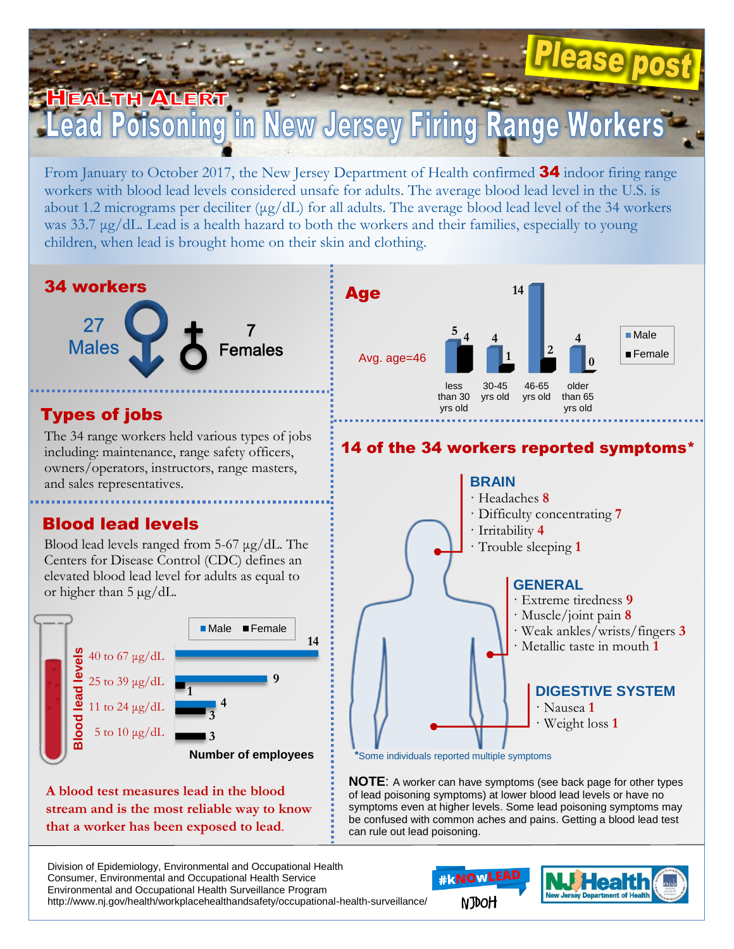## HEALTH ALERT **Poisoning in New Jersey Firing Range Worker**

From January to October 2017, the New Jersey Department of Health confirmed **34** indoor firing range workers with blood lead levels considered unsafe for adults. The average blood lead level in the U.S. is about 1.2 micrograms per deciliter (μg/dL) for all adults. The average blood lead level of the 34 workers was 33.7 μg/dL. Lead is a health hazard to both the workers and their families, especially to young children, when lead is brought home on their skin and clothing.



**Number of employees** \*Some individuals reported multiple symptoms

**A blood test measures lead in the blood stream and is the most reliable way to know that a worker has been exposed to lead**.

**NOTE**: A worker can have symptoms (see back page for other types of lead poisoning symptoms) at lower blood lead levels or have no symptoms even at higher levels. Some lead poisoning symptoms may be confused with common aches and pains. Getting a blood lead test can rule out lead poisoning.

Division of Epidemiology, Environmental and Occupational Health Consumer, Environmental and Occupational Health Service Environmental and Occupational Health Surveillance Program http://www.nj.gov/health/workplacehealthandsafety/occupational-health-surveillance/